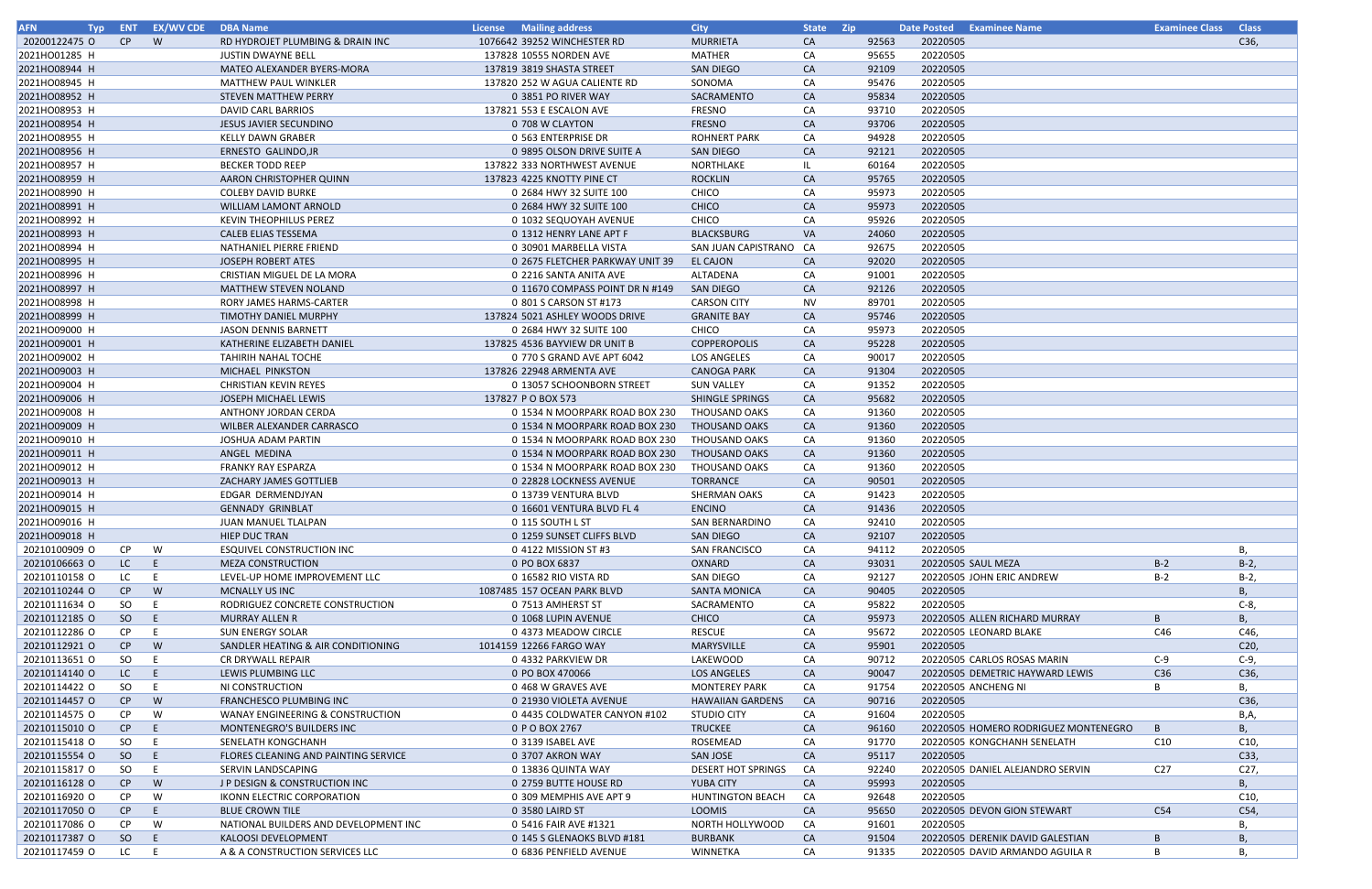| <b>AFN</b><br>Typ              | <b>ENT</b> | <b>EX/WV CDE</b> | <b>DBA Name</b>                                          | <b>Mailing address</b><br><b>License</b> | <b>City</b>                       | State Zip |                | <b>Examinee Name</b><br><b>Date Posted</b> | <b>Examinee Class</b> | <b>Class</b>    |
|--------------------------------|------------|------------------|----------------------------------------------------------|------------------------------------------|-----------------------------------|-----------|----------------|--------------------------------------------|-----------------------|-----------------|
| 20200122475 O                  | CP         | W                | RD HYDROJET PLUMBING & DRAIN INC                         | 1076642 39252 WINCHESTER RD              | <b>MURRIETA</b>                   | CA        | 92563          | 20220505                                   |                       | C36,            |
| 2021HO01285 H                  |            |                  | <b>JUSTIN DWAYNE BELL</b>                                | 137828 10555 NORDEN AVE                  | <b>MATHER</b>                     | CA        | 95655          | 20220505                                   |                       |                 |
| 2021HO08944 H                  |            |                  | MATEO ALEXANDER BYERS-MORA                               | 137819 3819 SHASTA STREET                | <b>SAN DIEGO</b>                  | CA        | 92109          | 20220505                                   |                       |                 |
| 2021HO08945 H                  |            |                  | <b>MATTHEW PAUL WINKLER</b>                              | 137820 252 W AGUA CALIENTE RD            | SONOMA                            | CA        | 95476          | 20220505                                   |                       |                 |
| 2021HO08952 H                  |            |                  | <b>STEVEN MATTHEW PERRY</b>                              | 0 3851 PO RIVER WAY                      | SACRAMENTO                        | CA        | 95834          | 20220505                                   |                       |                 |
| 2021HO08953 H                  |            |                  | DAVID CARL BARRIOS                                       | 137821 553 E ESCALON AVE                 | <b>FRESNO</b>                     | CA        | 93710          | 20220505                                   |                       |                 |
| 2021HO08954 H                  |            |                  | <b>JESUS JAVIER SECUNDINO</b>                            | 0 708 W CLAYTON                          | <b>FRESNO</b>                     | <b>CA</b> | 93706          | 20220505                                   |                       |                 |
| 2021HO08955 H                  |            |                  | <b>KELLY DAWN GRABER</b>                                 | 0 563 ENTERPRISE DR                      | <b>ROHNERT PARK</b>               | CA        | 94928          | 20220505                                   |                       |                 |
| 2021HO08956 H                  |            |                  | ERNESTO GALINDO, JR                                      | 0 9895 OLSON DRIVE SUITE A               | <b>SAN DIEGO</b>                  | CA        | 92121          | 20220505                                   |                       |                 |
| 2021HO08957 H                  |            |                  | <b>BECKER TODD REEP</b>                                  | 137822 333 NORTHWEST AVENUE              | NORTHLAKE                         | IL        | 60164          | 20220505                                   |                       |                 |
| 2021HO08959 H                  |            |                  | AARON CHRISTOPHER QUINN                                  | 137823 4225 KNOTTY PINE CT               | <b>ROCKLIN</b>                    | <b>CA</b> | 95765          | 20220505                                   |                       |                 |
| 2021HO08990 H                  |            |                  | <b>COLEBY DAVID BURKE</b>                                | 0 2684 HWY 32 SUITE 100                  | <b>CHICO</b>                      | CA        | 95973          | 20220505                                   |                       |                 |
| 2021HO08991 H                  |            |                  | WILLIAM LAMONT ARNOLD                                    | 0 2684 HWY 32 SUITE 100                  | <b>CHICO</b>                      | CA        | 95973          | 20220505                                   |                       |                 |
| 2021HO08992 H                  |            |                  | <b>KEVIN THEOPHILUS PEREZ</b>                            | 0 1032 SEQUOYAH AVENUE                   | CHICO                             | CA        | 95926          | 20220505                                   |                       |                 |
| 2021HO08993 H                  |            |                  | <b>CALEB ELIAS TESSEMA</b>                               | 0 1312 HENRY LANE APT F                  | <b>BLACKSBURG</b>                 | <b>VA</b> | 24060          | 20220505                                   |                       |                 |
| 2021HO08994 H                  |            |                  | NATHANIEL PIERRE FRIEND                                  | 0 30901 MARBELLA VISTA                   | SAN JUAN CAPISTRANO CA            |           | 92675          | 20220505                                   |                       |                 |
| 2021HO08995 H                  |            |                  | <b>JOSEPH ROBERT ATES</b>                                | 0 2675 FLETCHER PARKWAY UNIT 39          | <b>EL CAJON</b>                   | CA        | 92020          | 20220505                                   |                       |                 |
| 2021HO08996 H                  |            |                  | CRISTIAN MIGUEL DE LA MORA                               | 0 2216 SANTA ANITA AVE                   | ALTADENA                          | CA        | 91001          | 20220505                                   |                       |                 |
| 2021HO08997 H                  |            |                  | <b>MATTHEW STEVEN NOLAND</b>                             | 0 11670 COMPASS POINT DR N #149          | SAN DIEGO                         | <b>CA</b> | 92126          | 20220505                                   |                       |                 |
| 2021HO08998 H                  |            |                  | RORY JAMES HARMS-CARTER                                  | 0 801 S CARSON ST #173                   | <b>CARSON CITY</b>                | <b>NV</b> | 89701          | 20220505                                   |                       |                 |
| 2021HO08999 H                  |            |                  | <b>TIMOTHY DANIEL MURPHY</b>                             | 137824 5021 ASHLEY WOODS DRIVE           | <b>GRANITE BAY</b>                | <b>CA</b> | 95746          | 20220505                                   |                       |                 |
| 2021HO09000 H                  |            |                  | <b>JASON DENNIS BARNETT</b>                              | 0 2684 HWY 32 SUITE 100                  | CHICO                             | CA        | 95973          | 20220505                                   |                       |                 |
| 2021HO09001 H                  |            |                  | KATHERINE ELIZABETH DANIEL                               | 137825 4536 BAYVIEW DR UNIT B            | <b>COPPEROPOLIS</b>               | <b>CA</b> | 95228          | 20220505                                   |                       |                 |
| 2021HO09002 H                  |            |                  | <b>TAHIRIH NAHAL TOCHE</b>                               | 0 770 S GRAND AVE APT 6042               | <b>LOS ANGELES</b>                | CA        | 90017          | 20220505                                   |                       |                 |
| 2021HO09003 H                  |            |                  | MICHAEL PINKSTON                                         | 137826 22948 ARMENTA AVE                 | <b>CANOGA PARK</b>                | <b>CA</b> | 91304          | 20220505                                   |                       |                 |
| 2021HO09004 H                  |            |                  | <b>CHRISTIAN KEVIN REYES</b>                             | 0 13057 SCHOONBORN STREET                | <b>SUN VALLEY</b>                 | CA        | 91352          | 20220505                                   |                       |                 |
| 2021HO09006 H                  |            |                  | JOSEPH MICHAEL LEWIS                                     | 137827 PO BOX 573                        | SHINGLE SPRINGS                   | <b>CA</b> | 95682          | 20220505                                   |                       |                 |
| 2021HO09008 H                  |            |                  | ANTHONY JORDAN CERDA                                     | 0 1534 N MOORPARK ROAD BOX 230           | <b>THOUSAND OAKS</b>              | CA        | 91360          | 20220505                                   |                       |                 |
| 2021HO09009 H                  |            |                  | <b>WILBER ALEXANDER CARRASCO</b>                         | 0 1534 N MOORPARK ROAD BOX 230           | <b>THOUSAND OAKS</b>              | <b>CA</b> | 91360          | 20220505                                   |                       |                 |
| 2021HO09010 H                  |            |                  | JOSHUA ADAM PARTIN                                       | 0 1534 N MOORPARK ROAD BOX 230           | <b>THOUSAND OAKS</b>              | CA        | 91360          | 20220505                                   |                       |                 |
| 2021HO09011 H                  |            |                  | ANGEL MEDINA                                             | 0 1534 N MOORPARK ROAD BOX 230           | <b>THOUSAND OAKS</b>              | <b>CA</b> | 91360          | 20220505                                   |                       |                 |
| 2021HO09012 H                  |            |                  | <b>FRANKY RAY ESPARZA</b>                                | 0 1534 N MOORPARK ROAD BOX 230           | THOUSAND OAKS                     | CA        | 91360          | 20220505                                   |                       |                 |
| 2021HO09013 H                  |            |                  | ZACHARY JAMES GOTTLIEB                                   | 0 22828 LOCKNESS AVENUE                  | <b>TORRANCE</b>                   | <b>CA</b> | 90501          | 20220505                                   |                       |                 |
| 2021HO09014 H                  |            |                  | EDGAR DERMENDJYAN                                        | 0 13739 VENTURA BLVD                     | <b>SHERMAN OAKS</b>               | CA        | 91423          | 20220505                                   |                       |                 |
| 2021HO09015 H                  |            |                  | <b>GENNADY GRINBLAT</b>                                  | 0 16601 VENTURA BLVD FL 4                | <b>ENCINO</b>                     | <b>CA</b> | 91436          | 20220505                                   |                       |                 |
| 2021HO09016 H                  |            |                  | <b>JUAN MANUEL TLALPAN</b>                               | 0 115 SOUTH L ST                         | SAN BERNARDINO                    | CA        | 92410          | 20220505                                   |                       |                 |
| 2021HO09018 H                  |            |                  | <b>HIEP DUC TRAN</b>                                     | 0 1259 SUNSET CLIFFS BLVD                | <b>SAN DIEGO</b>                  | <b>CA</b> | 92107          | 20220505                                   |                       |                 |
| 20210100909 O                  | <b>CP</b>  | W                | ESQUIVEL CONSTRUCTION INC                                | 0 4122 MISSION ST #3                     | <b>SAN FRANCISCO</b>              | CA        | 94112          | 20220505                                   |                       | В,              |
| 20210106663 O                  | LC         | E                | <b>MEZA CONSTRUCTION</b>                                 | 0 PO BOX 6837                            | OXNARD                            | CA        | 93031          | 20220505 SAUL MEZA                         | $B-2$                 | $B-2$ ,         |
| 20210110158 O                  | LC         |                  | LEVEL-UP HOME IMPROVEMENT LLC                            | 0 16582 RIO VISTA RD                     | <b>SAN DIEGO</b>                  | CA        | 92127          | 20220505 JOHN ERIC ANDREW                  | $B-2$                 | $B-2$           |
| 20210110244 O<br>20210111634 O | CP         | W<br>E           | <b>MCNALLY US INC</b>                                    | 1087485 157 OCEAN PARK BLVD              | <b>SANTA MONICA</b><br>SACRAMENTO | <b>CA</b> | 90405<br>95822 | 20220505<br>20220505                       |                       | В,<br>$C-8$     |
| 20210112185 O                  | SO.<br>SO  | E                | RODRIGUEZ CONCRETE CONSTRUCTION<br><b>MURRAY ALLEN R</b> | 0 7513 AMHERST ST<br>0 1068 LUPIN AVENUE | <b>CHICO</b>                      | CA<br>CA  | 95973          | 20220505 ALLEN RICHARD MURRAY              | B                     | В,              |
| 20210112286 O                  | CP         | E                | <b>SUN ENERGY SOLAR</b>                                  | 0 4373 MEADOW CIRCLE                     | <b>RESCUE</b>                     | CA        | 95672          | 20220505 LEONARD BLAKE                     | C46                   | C46,            |
| 20210112921 O                  | CP         | W                | SANDLER HEATING & AIR CONDITIONING                       | 1014159 12266 FARGO WAY                  | <b>MARYSVILLE</b>                 | CA        | 95901          | 20220505                                   |                       | C20,            |
| 20210113651 O                  | SO.        |                  | CR DRYWALL REPAIR                                        | 0 4332 PARKVIEW DR                       | LAKEWOOD                          | CA        | 90712          | 20220505 CARLOS ROSAS MARIN                | $C-9$                 | $C-9,$          |
| 20210114140 O                  | LC         | E                | LEWIS PLUMBING LLC                                       | 0 PO BOX 470066                          | LOS ANGELES                       | <b>CA</b> | 90047          | 20220505 DEMETRIC HAYWARD LEWIS            | C36                   | C36,            |
| 20210114422 0                  | SO         | E                | NI CONSTRUCTION                                          | 0 468 W GRAVES AVE                       | <b>MONTEREY PARK</b>              | CA        | 91754          | 20220505 ANCHENG NI                        | B                     | Β,              |
| 20210114457 O                  | CP         | W                | <b>FRANCHESCO PLUMBING INC</b>                           | 0 21930 VIOLETA AVENUE                   | <b>HAWAIIAN GARDENS</b>           | CA        | 90716          | 20220505                                   |                       | C36,            |
| 20210114575 O                  | CP         | W                | WANAY ENGINEERING & CONSTRUCTION                         | 0 4435 COLDWATER CANYON #102             | <b>STUDIO CITY</b>                | CA        | 91604          | 20220505                                   |                       | B,A,            |
| 20210115010 O                  | CP         | E.               | MONTENEGRO'S BUILDERS INC                                | 0 P O BOX 2767                           | <b>TRUCKEE</b>                    | CA        | 96160          | 20220505 HOMERO RODRIGUEZ MONTENEGRO       | B                     | В,              |
| 20210115418 O                  | SO         | E                | SENELATH KONGCHANH                                       | 0 3139 ISABEL AVE                        | ROSEMEAD                          | CA        | 91770          | 20220505 KONGCHANH SENELATH                | C10                   | C10,            |
| 20210115554 O                  | SO         | E                | FLORES CLEANING AND PAINTING SERVICE                     | 0 3707 AKRON WAY                         | SAN JOSE                          | <b>CA</b> | 95117          | 20220505                                   |                       | C33,            |
| 20210115817 O                  | SO         | E                | SERVIN LANDSCAPING                                       | 0 13836 QUINTA WAY                       | <b>DESERT HOT SPRINGS</b>         | CA        | 92240          | 20220505 DANIEL ALEJANDRO SERVIN           | C <sub>27</sub>       | C27,            |
| 20210116128 O                  | CP         | W                | J P DESIGN & CONSTRUCTION INC                            | 0 2759 BUTTE HOUSE RD                    | YUBA CITY                         | <b>CA</b> | 95993          | 20220505                                   |                       | В,              |
| 20210116920 O                  | CP         | W                | <b>IKONN ELECTRIC CORPORATION</b>                        | 0 309 MEMPHIS AVE APT 9                  | <b>HUNTINGTON BEACH</b>           | CA        | 92648          | 20220505                                   |                       | C <sub>10</sub> |
| 20210117050 O                  | CP         | E                | <b>BLUE CROWN TILE</b>                                   | 0 3580 LAIRD ST                          | LOOMIS                            | CA        | 95650          | 20220505 DEVON GION STEWART                | C54                   | C54,            |
| 20210117086 O                  | CP         | W                | NATIONAL BUILDERS AND DEVELOPMENT INC                    | 0 5416 FAIR AVE #1321                    | NORTH HOLLYWOOD                   | CA        | 91601          | 20220505                                   |                       | В,              |
| 20210117387 O                  | SO         | E                | KALOOSI DEVELOPMENT                                      | 0 145 S GLENAOKS BLVD #181               | <b>BURBANK</b>                    | CA        | 91504          | 20220505 DERENIK DAVID GALESTIAN           | B                     | В,              |
| 20210117459 O                  | LC         | E                | A & A CONSTRUCTION SERVICES LLC                          | 0 6836 PENFIELD AVENUE                   | WINNETKA                          | CA        | 91335          | 20220505 DAVID ARMANDO AGUILA R            | B                     | В,              |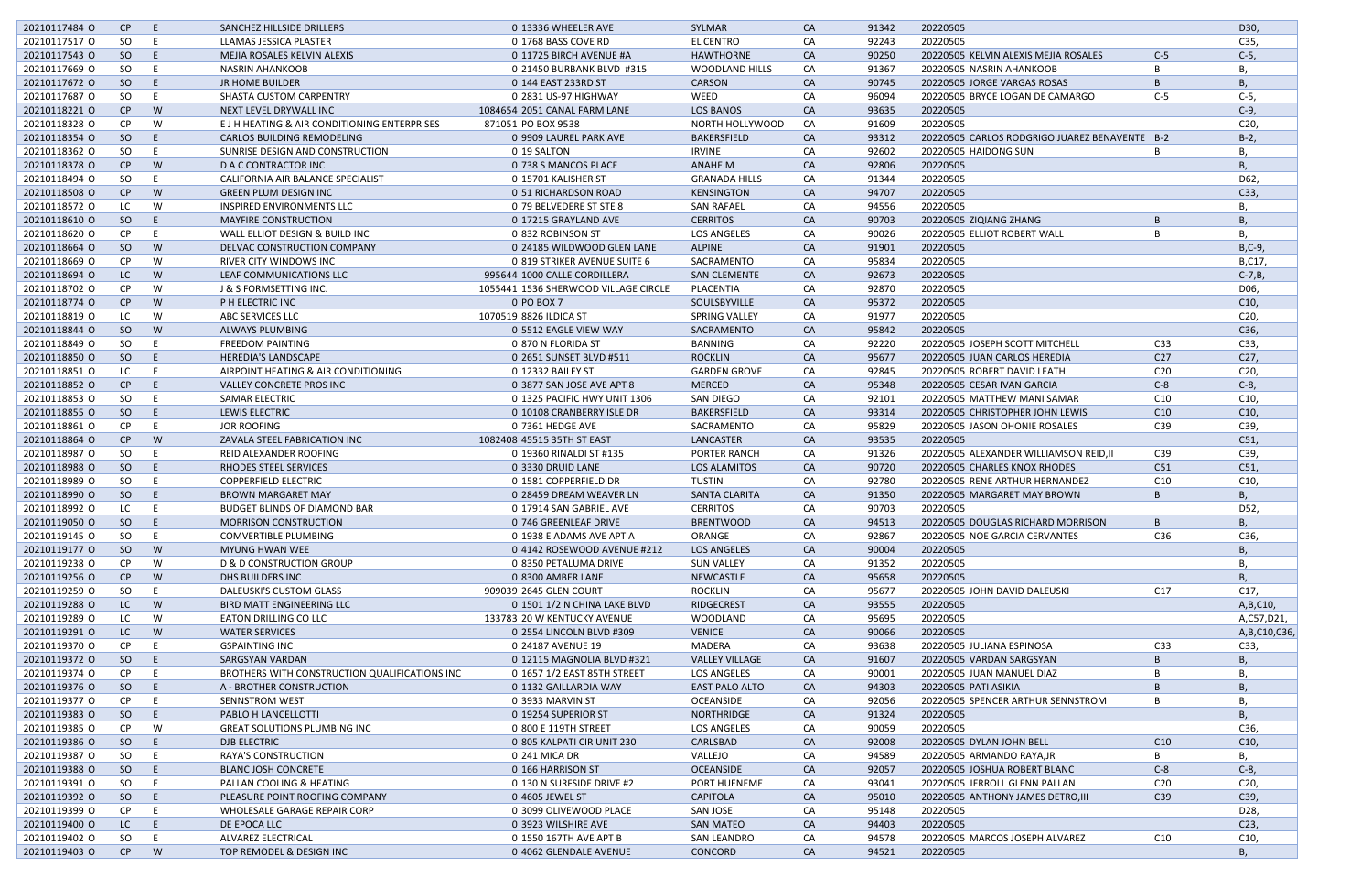| 20210117484 O | CP.       | F  | SANCHEZ HILLSIDE DRILLERS                     | 0 13336 WHEELER AVE                  | <b>SYLMAR</b>         | <b>CA</b> | 91342 | 20220505                                      |                 | D30,            |
|---------------|-----------|----|-----------------------------------------------|--------------------------------------|-----------------------|-----------|-------|-----------------------------------------------|-----------------|-----------------|
| 20210117517 O | SO.       |    | LLAMAS JESSICA PLASTER                        | 0 1768 BASS COVE RD                  | <b>EL CENTRO</b>      | CA        | 92243 | 20220505                                      |                 | C35,            |
| 20210117543 O | SO        | E  | MEJIA ROSALES KELVIN ALEXIS                   | 0 11725 BIRCH AVENUE #A              | <b>HAWTHORNE</b>      | <b>CA</b> | 90250 | 20220505 KELVIN ALEXIS MEJIA ROSALES          | $C-5$           | $C-5$ ,         |
| 20210117669 O | SO        |    | NASRIN AHANKOOB                               | 0 21450 BURBANK BLVD #315            | <b>WOODLAND HILLS</b> | CA        | 91367 | 20220505 NASRIN AHANKOOB                      | B               | В.              |
| 20210117672 O | SO        | E  | <b>JR HOME BUILDER</b>                        | 0 144 EAST 233RD ST                  | CARSON                | <b>CA</b> | 90745 | 20220505 JORGE VARGAS ROSAS                   | B               | B               |
| 20210117687 O | SO.       | E  | SHASTA CUSTOM CARPENTRY                       | 0 2831 US-97 HIGHWAY                 | WEED                  | CA        | 96094 | 20220505 BRYCE LOGAN DE CAMARGO               | $C-5$           | $C-5$ ,         |
| 20210118221 O | CP        | W  | NEXT LEVEL DRYWALL INC                        | 1084654 2051 CANAL FARM LANE         | <b>LOS BANOS</b>      | <b>CA</b> | 93635 | 20220505                                      |                 | $C-9$ ,         |
| 20210118328 O | <b>CP</b> | W  | E J H HEATING & AIR CONDITIONING ENTERPRISES  | 871051 PO BOX 9538                   | NORTH HOLLYWOOD       | CA        | 91609 | 20220505                                      |                 | C20,            |
| 20210118354 O | SO        | E  | <b>CARLOS BUILDING REMODELING</b>             | 0 9909 LAUREL PARK AVE               | BAKERSFIELD           | <b>CA</b> | 93312 | 20220505 CARLOS RODGRIGO JUAREZ BENAVENTE B-2 |                 | $B-2$           |
| 20210118362 O | SO        | E  | SUNRISE DESIGN AND CONSTRUCTION               | 0 19 SALTON                          | <b>IRVINE</b>         | CA        | 92602 | 20220505 HAIDONG SUN                          | B               | В,              |
| 20210118378 O | CP        | W  | D A C CONTRACTOR INC                          | 0 738 S MANCOS PLACE                 | ANAHEIM               | <b>CA</b> | 92806 | 20220505                                      |                 | <b>B.</b>       |
| 20210118494 O | SO.       | F  | CALIFORNIA AIR BALANCE SPECIALIST             | 0 15701 KALISHER ST                  | <b>GRANADA HILLS</b>  | CA        | 91344 | 20220505                                      |                 | D62,            |
| 20210118508 O | CP        | W  | <b>GREEN PLUM DESIGN INC</b>                  | 0 51 RICHARDSON ROAD                 | <b>KENSINGTON</b>     | <b>CA</b> | 94707 | 20220505                                      |                 | C33,            |
| 20210118572 O | LC.       | W  | <b>INSPIRED ENVIRONMENTS LLC</b>              | 0 79 BELVEDERE ST STE 8              | <b>SAN RAFAEL</b>     | CA        | 94556 | 20220505                                      |                 | В,              |
| 20210118610 O | SO        | E  | <b>MAYFIRE CONSTRUCTION</b>                   | 0 17215 GRAYLAND AVE                 | <b>CERRITOS</b>       | CA        | 90703 | 20220505 ZIQIANG ZHANG                        | B               | Β,              |
| 20210118620 O | <b>CP</b> | Е  | WALL ELLIOT DESIGN & BUILD INC                | 0 832 ROBINSON ST                    | <b>LOS ANGELES</b>    | CA        | 90026 | 20220505 ELLIOT ROBERT WALL                   | B               | В,              |
| 20210118664 O | SO        | W  | DELVAC CONSTRUCTION COMPANY                   | 0 24185 WILDWOOD GLEN LANE           | <b>ALPINE</b>         | <b>CA</b> | 91901 | 20220505                                      |                 | $B, C-9,$       |
| 20210118669 O | <b>CP</b> | W  | RIVER CITY WINDOWS INC                        | 0 819 STRIKER AVENUE SUITE 6         | SACRAMENTO            | CA        | 95834 | 20220505                                      |                 | B,C17,          |
| 20210118694 O | LC.       | W  | LEAF COMMUNICATIONS LLC                       | 995644 1000 CALLE CORDILLERA         | <b>SAN CLEMENTE</b>   | <b>CA</b> | 92673 | 20220505                                      |                 | $C-7,B$ ,       |
| 20210118702 O | <b>CP</b> | W  | J & S FORMSETTING INC.                        | 1055441 1536 SHERWOOD VILLAGE CIRCLE | PLACENTIA             | CA        | 92870 | 20220505                                      |                 | D06,            |
| 20210118774 O | CP        | W  | P H ELECTRIC INC                              | 0 PO BOX 7                           | SOULSBYVILLE          | <b>CA</b> | 95372 | 20220505                                      |                 | C10,            |
| 20210118819 O | LC.       | W  | ABC SERVICES LLC                              | 1070519 8826 ILDICA ST               | SPRING VALLEY         | CA        | 91977 | 20220505                                      |                 | C20,            |
| 20210118844 O | SO        | W  | <b>ALWAYS PLUMBING</b>                        | 0 5512 EAGLE VIEW WAY                | SACRAMENTO            | CA        | 95842 | 20220505                                      |                 | C36,            |
| 20210118849 O | SO        | F  | <b>FREEDOM PAINTING</b>                       | 0 870 N FLORIDA ST                   | <b>BANNING</b>        | CA        | 92220 | 20220505 JOSEPH SCOTT MITCHELL                | C33             | C33,            |
|               |           | F  |                                               |                                      |                       |           |       |                                               | C <sub>27</sub> | C27,            |
| 20210118850 O | SO        |    | <b>HEREDIA'S LANDSCAPE</b>                    | 0 2651 SUNSET BLVD #511              | <b>ROCKLIN</b>        | CA        | 95677 | 20220505 JUAN CARLOS HEREDIA                  |                 |                 |
| 20210118851 O | LC.       |    | AIRPOINT HEATING & AIR CONDITIONING           | 0 12332 BAILEY ST                    | <b>GARDEN GROVE</b>   | CA        | 92845 | 20220505 ROBERT DAVID LEATH                   | C <sub>20</sub> | C <sub>20</sub> |
| 20210118852 O | CP        | E  | <b>VALLEY CONCRETE PROS INC</b>               | 0 3877 SAN JOSE AVE APT 8            | <b>MERCED</b>         | CA        | 95348 | 20220505 CESAR IVAN GARCIA                    | $C-8$           | $C-8$ ,         |
| 20210118853 O | SO        | E  | <b>SAMAR ELECTRIC</b>                         | 0 1325 PACIFIC HWY UNIT 1306         | <b>SAN DIEGO</b>      | CA        | 92101 | 20220505 MATTHEW MANI SAMAR                   | C10             | C10,            |
| 20210118855 O | SO        | E  | <b>LEWIS ELECTRIC</b>                         | 0 10108 CRANBERRY ISLE DR            | <b>BAKERSFIELD</b>    | <b>CA</b> | 93314 | 20220505 CHRISTOPHER JOHN LEWIS               | C10             | C10,            |
| 20210118861 O | <b>CP</b> | F  | JOR ROOFING                                   | 0 7361 HEDGE AVE                     | SACRAMENTO            | CA        | 95829 | 20220505 JASON OHONIE ROSALES                 | C39             | C39,            |
| 20210118864 O | CP        | W  | ZAVALA STEEL FABRICATION INC                  | 1082408 45515 35TH ST EAST           | LANCASTER             | CA        | 93535 | 20220505                                      |                 | C51,            |
| 20210118987 O | SO        |    | REID ALEXANDER ROOFING                        | 0 19360 RINALDI ST #135              | PORTER RANCH          | CA        | 91326 | 20220505 ALEXANDER WILLIAMSON REID, II        | C39             | C39,            |
| 20210118988 O | SO        | -E | RHODES STEEL SERVICES                         | 0 3330 DRUID LANE                    | <b>LOS ALAMITOS</b>   | <b>CA</b> | 90720 | 20220505 CHARLES KNOX RHODES                  | C51             | C51,            |
| 20210118989 O | SO        | -E | <b>COPPERFIELD ELECTRIC</b>                   | 0 1581 COPPERFIELD DR                | TUSTIN                | CA        | 92780 | 20220505 RENE ARTHUR HERNANDEZ                | C <sub>10</sub> | C10,            |
| 20210118990 O | SO        | -E | <b>BROWN MARGARET MAY</b>                     | 0 28459 DREAM WEAVER LN              | <b>SANTA CLARITA</b>  | <b>CA</b> | 91350 | 20220505 MARGARET MAY BROWN                   | B               | Β,              |
| 20210118992 0 | LC        | F  | <b>BUDGET BLINDS OF DIAMOND BAR</b>           | 0 17914 SAN GABRIEL AVE              | <b>CERRITOS</b>       | CA        | 90703 | 20220505                                      |                 | D52,            |
| 20210119050 O | SO.       | E  | <b>MORRISON CONSTRUCTION</b>                  | 0 746 GREENLEAF DRIVE                | <b>BRENTWOOD</b>      | CA        | 94513 | 20220505 DOUGLAS RICHARD MORRISON             | B               | Β,              |
| 20210119145 O | SO.       | E  | <b>COMVERTIBLE PLUMBING</b>                   | 0 1938 E ADAMS AVE APT A             | ORANGE                | CA        | 92867 | 20220505 NOE GARCIA CERVANTES                 | C36             | C36,            |
| 20210119177 O | SO        | W  | <b>MYUNG HWAN WEE</b>                         | 0 4142 ROSEWOOD AVENUE #212          | <b>LOS ANGELES</b>    | CA        | 90004 | 20220505                                      |                 | Β,              |
| 20210119238 O | CP.       | W  | <b>D &amp; D CONSTRUCTION GROUP</b>           | 0 8350 PETALUMA DRIVE                | <b>SUN VALLEY</b>     | CA        | 91352 | 20220505                                      |                 | В,              |
| 20210119256 O | CP        | W  | DHS BUILDERS INC                              | 0 8300 AMBER LANE                    | NEWCASTLE             | CA        | 95658 | 20220505                                      |                 | В,              |
| 20210119259 O | SO        | E  | DALEUSKI'S CUSTOM GLASS                       | 909039 2645 GLEN COURT               | <b>ROCKLIN</b>        | CA        | 95677 | 20220505 JOHN DAVID DALEUSKI                  | C17             | C17,            |
| 20210119288 O | LC        | W  | BIRD MATT ENGINEERING LLC                     | 0 1501 1/2 N CHINA LAKE BLVD         | RIDGECREST            | CA        | 93555 | 20220505                                      |                 | A, B, C10,      |
| 20210119289 O | LC.       | W  | EATON DRILLING CO LLC                         | 133783 20 W KENTUCKY AVENUE          | WOODLAND              | CA        | 95695 | 20220505                                      |                 | A,C57,D21,      |
| 20210119291 O | LC.       | W  | <b>WATER SERVICES</b>                         | 0 2554 LINCOLN BLVD #309             | <b>VENICE</b>         | CA        | 90066 | 20220505                                      |                 | A, B, C10, C36, |
| 20210119370 O | <b>CP</b> |    | <b>GSPAINTING INC</b>                         | 0 24187 AVENUE 19                    | MADERA                | CA        | 93638 | 20220505 JULIANA ESPINOSA                     | C <sub>33</sub> | C33,            |
| 20210119372 O | SO        | E  | <b>SARGSYAN VARDAN</b>                        | 0 12115 MAGNOLIA BLVD #321           | <b>VALLEY VILLAGE</b> | CA        | 91607 | 20220505 VARDAN SARGSYAN                      | B               | Β,              |
| 20210119374 O | CP.       | Е  | BROTHERS WITH CONSTRUCTION QUALIFICATIONS INC | 0 1657 1/2 EAST 85TH STREET          | LOS ANGELES           | CA        | 90001 | 20220505 JUAN MANUEL DIAZ                     | В               | Β,              |
| 20210119376 O | SO        | E  | A - BROTHER CONSTRUCTION                      | 0 1132 GAILLARDIA WAY                | EAST PALO ALTO        | CA        | 94303 | 20220505 PATI ASIKIA                          | B               | Β,              |
| 20210119377 O | <b>CP</b> | Е  | SENNSTROM WEST                                | 0 3933 MARVIN ST                     | OCEANSIDE             | CA        | 92056 | 20220505 SPENCER ARTHUR SENNSTROM             | B               | Β,              |
| 20210119383 O | SO        | E. | PABLO H LANCELLOTTI                           | 0 19254 SUPERIOR ST                  | NORTHRIDGE            | CA        | 91324 | 20220505                                      |                 | <b>B.</b>       |
| 20210119385 O | <b>CP</b> | W  | <b>GREAT SOLUTIONS PLUMBING INC</b>           | 0 800 E 119TH STREET                 | LOS ANGELES           | CA        | 90059 | 20220505                                      |                 | C36,            |
| 20210119386 O | SO        | E  | DJB ELECTRIC                                  | 0 805 KALPATI CIR UNIT 230           | CARLSBAD              | CA        | 92008 | 20220505 DYLAN JOHN BELL                      | C10             | C10,            |
| 20210119387 O | SO        |    | <b>RAYA'S CONSTRUCTION</b>                    | 0 241 MICA DR                        | VALLEJO               | CA        | 94589 | 20220505 ARMANDO RAYA,JR                      | B               | Β,              |
| 20210119388 O | SO        | E  | <b>BLANC JOSH CONCRETE</b>                    | 0 166 HARRISON ST                    | <b>OCEANSIDE</b>      | CA        | 92057 | 20220505 JOSHUA ROBERT BLANC                  | $C-8$           | $C-8$ ,         |
| 20210119391 O | SO        |    | PALLAN COOLING & HEATING                      | 0 130 N SURFSIDE DRIVE #2            | PORT HUENEME          | CA        | 93041 | 20220505 JERROLL GLENN PALLAN                 | C <sub>20</sub> | C20,            |
| 20210119392 O | SO        | E  | PLEASURE POINT ROOFING COMPANY                | 0 4605 JEWEL ST                      | <b>CAPITOLA</b>       | <b>CA</b> | 95010 | 20220505 ANTHONY JAMES DETRO, III             | C39             | C39,            |
| 20210119399 O | <b>CP</b> |    | WHOLESALE GARAGE REPAIR CORP                  | 0 3099 OLIVEWOOD PLACE               | SAN JOSE              | CA        | 95148 | 20220505                                      |                 | D28,            |
| 20210119400 O | LC        | E  | DE EPOCA LLC                                  | 0 3923 WILSHIRE AVE                  | <b>SAN MATEO</b>      | CA        | 94403 | 20220505                                      |                 | C <sub>23</sub> |
| 20210119402 O |           | E. | ALVAREZ ELECTRICAL                            | 0 1550 167TH AVE APT B               | <b>SAN LEANDRO</b>    |           | 94578 | 20220505 MARCOS JOSEPH ALVAREZ                |                 |                 |
|               | SO        |    |                                               |                                      |                       | CA        |       |                                               | C10             | C10,            |
| 20210119403 O | CP        | W  | TOP REMODEL & DESIGN INC                      | 0 4062 GLENDALE AVENUE               | CONCORD               | CA        | 94521 | 20220505                                      |                 | Β,              |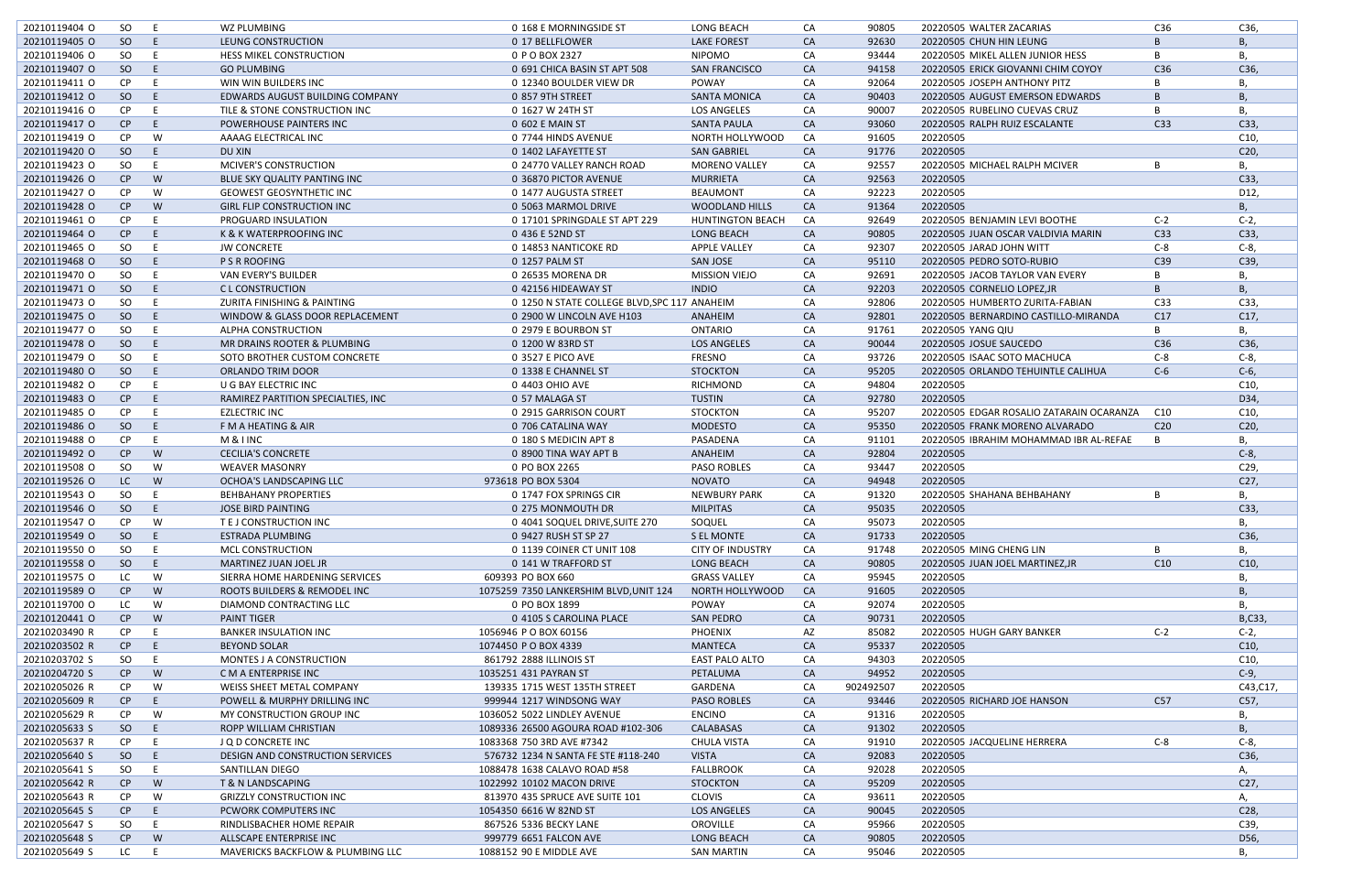| 20210119404 O | SO        | - E | WZ PLUMBING                                  | 0 168 E MORNINGSIDE ST                       | LONG BEACH              | CA        | 90805     | 20220505 WALTER ZACARIAS                 | C36             | C36,            |
|---------------|-----------|-----|----------------------------------------------|----------------------------------------------|-------------------------|-----------|-----------|------------------------------------------|-----------------|-----------------|
| 20210119405 O | SO        | E   | LEUNG CONSTRUCTION                           | 0 17 BELLFLOWER                              | <b>LAKE FOREST</b>      | <b>CA</b> | 92630     | 20220505 CHUN HIN LEUNG                  | B.              | Β,              |
| 20210119406 O | SO        | - E | <b>HESS MIKEL CONSTRUCTION</b>               | 0 P O BOX 2327                               | <b>NIPOMO</b>           | CA        | 93444     | 20220505 MIKEL ALLEN JUNIOR HESS         | B               | Β,              |
| 20210119407 O | SO        | E   | <b>GO PLUMBING</b>                           | 0 691 CHICA BASIN ST APT 508                 | <b>SAN FRANCISCO</b>    | <b>CA</b> | 94158     | 20220505 ERICK GIOVANNI CHIM COYOY       | C <sub>36</sub> | C36,            |
| 20210119411 0 | CP.       |     | WIN WIN BUILDERS INC                         | 0 12340 BOULDER VIEW DR                      | <b>POWAY</b>            | CA        | 92064     | 20220505 JOSEPH ANTHONY PITZ             | B               | B,              |
|               |           |     |                                              |                                              |                         |           |           |                                          |                 |                 |
| 20210119412 0 | SO        | E   | EDWARDS AUGUST BUILDING COMPANY              | 0 857 9TH STREET                             | <b>SANTA MONICA</b>     | <b>CA</b> | 90403     | 20220505 AUGUST EMERSON EDWARDS          | B               | <b>B</b> ,      |
| 20210119416 O | <b>CP</b> | - E | TILE & STONE CONSTRUCTION INC                | 0 1627 W 24TH ST                             | <b>LOS ANGELES</b>      | CA        | 90007     | 20220505 RUBELINO CUEVAS CRUZ            | B               | Β,              |
| 20210119417 O | CP        | F   | POWERHOUSE PAINTERS INC                      | 0 602 E MAIN ST                              | <b>SANTA PAULA</b>      | <b>CA</b> | 93060     | 20220505 RALPH RUIZ ESCALANTE            | C <sub>33</sub> | C33,            |
| 20210119419 O | CP        | W   | AAAAG ELECTRICAL INC                         | 0 7744 HINDS AVENUE                          | NORTH HOLLYWOOD         | CA        | 91605     | 20220505                                 |                 | C10,            |
| 20210119420 O | SO        | E   | DU XIN                                       | 0 1402 LAFAYETTE ST                          | <b>SAN GABRIEL</b>      | CA        | 91776     | 20220505                                 |                 | C20,            |
|               |           |     |                                              |                                              |                         |           |           |                                          |                 |                 |
| 20210119423 O | SO        | E   | MCIVER'S CONSTRUCTION                        | 0 24770 VALLEY RANCH ROAD                    | <b>MORENO VALLEY</b>    | CA        | 92557     | 20220505 MICHAEL RALPH MCIVER            | В               | В,              |
| 20210119426 O | CP        | W   | BLUE SKY QUALITY PANTING INC                 | 0 36870 PICTOR AVENUE                        | MURRIETA                | CA        | 92563     | 20220505                                 |                 | C33,            |
| 20210119427 O | CP        | W   | <b>GEOWEST GEOSYNTHETIC INC</b>              | 0 1477 AUGUSTA STREET                        | <b>BEAUMONT</b>         | CA        | 92223     | 20220505                                 |                 | D12,            |
| 20210119428 O | CP        | W   | <b>GIRL FLIP CONSTRUCTION INC</b>            | 0 5063 MARMOL DRIVE                          | WOODLAND HILLS          | <b>CA</b> | 91364     | 20220505                                 |                 | Β.              |
| 20210119461 O | <b>CP</b> |     | PROGUARD INSULATION                          | 0 17101 SPRINGDALE ST APT 229                | <b>HUNTINGTON BEACH</b> | CA        | 92649     | 20220505 BENJAMIN LEVI BOOTHE            | $C-2$           | $C-2$           |
|               |           |     |                                              |                                              |                         |           |           |                                          |                 |                 |
| 20210119464 O | CP        | -E  | K & K WATERPROOFING INC                      | 0 436 E 52ND ST                              | <b>LONG BEACH</b>       | <b>CA</b> | 90805     | 20220505 JUAN OSCAR VALDIVIA MARIN       | C <sub>33</sub> | C33,            |
| 20210119465 O | SO        |     | <b>JW CONCRETE</b>                           | 0 14853 NANTICOKE RD                         | <b>APPLE VALLEY</b>     | CA        | 92307     | 20220505 JARAD JOHN WITT                 | $C-8$           | $C-8$ ,         |
| 20210119468 O | SO        | E   | <b>P S R ROOFING</b>                         | 0 1257 PALM ST                               | <b>SAN JOSE</b>         | <b>CA</b> | 95110     | 20220505 PEDRO SOTO-RUBIO                | C39             | C39,            |
| 20210119470 O | SO        | - E | VAN EVERY'S BUILDER                          | 0 26535 MORENA DR                            | <b>MISSION VIEJO</b>    | CA        | 92691     | 20220505 JACOB TAYLOR VAN EVERY          | B               | В.              |
| 20210119471 O | SO        | E   | <b>CL CONSTRUCTION</b>                       | 0 42156 HIDEAWAY ST                          | <b>INDIO</b>            | <b>CA</b> | 92203     | 20220505 CORNELIO LOPEZ.JR               | B               | Β.              |
|               |           |     |                                              |                                              |                         |           |           |                                          |                 |                 |
| 20210119473 O | SO        | - E | ZURITA FINISHING & PAINTING                  | 0 1250 N STATE COLLEGE BLVD, SPC 117 ANAHEIM |                         | CA        | 92806     | 20220505 HUMBERTO ZURITA-FABIAN          | C <sub>33</sub> | C33,            |
| 20210119475 O | SO        | E   | WINDOW & GLASS DOOR REPLACEMENT              | 0 2900 W LINCOLN AVE H103                    | ANAHEIM                 | <b>CA</b> | 92801     | 20220505 BERNARDINO CASTILLO-MIRANDA     | C17             | C17,            |
| 20210119477 O | SO        | -E  | ALPHA CONSTRUCTION                           | 0 2979 E BOURBON ST                          | <b>ONTARIO</b>          | CA        | 91761     | 20220505 YANG QIU                        | B               | Β,              |
| 20210119478 O | SO        | E   | MR DRAINS ROOTER & PLUMBING                  | 0 1200 W 83RD ST                             | <b>LOS ANGELES</b>      | CA        | 90044     | 20220505 JOSUE SAUCEDO                   | C36             | C36,            |
| 20210119479 O | SO.       | -E  | SOTO BROTHER CUSTOM CONCRETE                 | 0 3527 E PICO AVE                            | FRESNO                  | CA        | 93726     | 20220505 ISAAC SOTO MACHUCA              | $C-8$           | $C-8$ ,         |
|               |           |     |                                              |                                              |                         |           |           |                                          |                 |                 |
| 20210119480 O | SO        | E   | ORLANDO TRIM DOOR                            | 0 1338 E CHANNEL ST                          | <b>STOCKTON</b>         | <b>CA</b> | 95205     | 20220505 ORLANDO TEHUINTLE CALIHUA       | $C-6$           | $C-6$ ,         |
| 20210119482 O | <b>CP</b> | E   | U G BAY ELECTRIC INC                         | 0 4403 OHIO AVE                              | RICHMOND                | CA        | 94804     | 20220505                                 |                 | C10,            |
| 20210119483 O | CP        | E   | RAMIREZ PARTITION SPECIALTIES, INC           | 0 57 MALAGA ST                               | <b>TUSTIN</b>           | <b>CA</b> | 92780     | 20220505                                 |                 | D34,            |
| 20210119485 O | <b>CP</b> | -E  | <b>EZLECTRIC INC</b>                         | 0 2915 GARRISON COURT                        | <b>STOCKTON</b>         | CA        | 95207     | 20220505 EDGAR ROSALIO ZATARAIN OCARANZA | C10             | C10,            |
| 20210119486 O | SO        | E   | F M A HEATING & AIR                          | 0 706 CATALINA WAY                           | <b>MODESTO</b>          | <b>CA</b> | 95350     | 20220505 FRANK MORENO ALVARADO           | C <sub>20</sub> | C20,            |
|               |           |     |                                              |                                              |                         |           |           |                                          |                 |                 |
| 20210119488 O | CP.       | -E  | M & I INC                                    | 0 180 S MEDICIN APT 8                        | PASADENA                | CA        | 91101     | 20220505 IBRAHIM MOHAMMAD IBR AL-REFAE   | B               | В,              |
| 20210119492 O | CP        | W   | <b>CECILIA'S CONCRETE</b>                    | 0 8900 TINA WAY APT B                        | ANAHEIM                 | <b>CA</b> | 92804     | 20220505                                 |                 | $C-8$ ,         |
| 20210119508 O | SO.       | W   | <b>WEAVER MASONRY</b>                        | 0 PO BOX 2265                                | <b>PASO ROBLES</b>      | CA        | 93447     | 20220505                                 |                 | C29,            |
| 20210119526 O | LC.       | W   | OCHOA'S LANDSCAPING LLC                      | 973618 PO BOX 5304                           | <b>NOVATO</b>           | <b>CA</b> | 94948     | 20220505                                 |                 | C <sub>27</sub> |
| 20210119543 O | SO        | E   | <b>BEHBAHANY PROPERTIES</b>                  | 0 1747 FOX SPRINGS CIR                       | <b>NEWBURY PARK</b>     | CA        | 91320     | 20220505 SHAHANA BEHBAHANY               | B               |                 |
| 20210119546 O | SO        | E.  |                                              |                                              |                         |           | 95035     |                                          |                 |                 |
|               |           |     | JOSE BIRD PAINTING                           | 0 275 MONMOUTH DR                            | <b>MILPITAS</b>         | CA        |           | 20220505                                 |                 | C33,            |
| 20210119547 O | CP        | W   | T E J CONSTRUCTION INC                       | 0 4041 SOQUEL DRIVE, SUITE 270               | SOQUEL                  | CA        | 95073     | 20220505                                 |                 | в,              |
| 20210119549 O | SO        | E.  | <b>ESTRADA PLUMBING</b>                      | 0 9427 RUSH ST SP 27                         | S EL MONTE              | <b>CA</b> | 91733     | 20220505                                 |                 | C36,            |
| 20210119550 O | SO.       | E   | MCL CONSTRUCTION                             | 0 1139 COINER CT UNIT 108                    | <b>CITY OF INDUSTRY</b> | CA        | 91748     | 20220505 MING CHENG LIN                  | В               | В,              |
| 20210119558 O | SO        | E.  | MARTINEZ JUAN JOEL JR                        | 0 141 W TRAFFORD ST                          | LONG BEACH              | CA        | 90805     | 20220505 JUAN JOEL MARTINEZ.JR           | C10             | C10,            |
| 20210119575 O | LC        | W   | SIERRA HOME HARDENING SERVICES               | 609393 PO BOX 660                            | <b>GRASS VALLEY</b>     | CA        | 95945     | 20220505                                 |                 |                 |
|               |           |     |                                              |                                              |                         |           |           |                                          |                 | В,              |
| 20210119589 O | CP        | W   | ROOTS BUILDERS & REMODEL INC                 | 1075259 7350 LANKERSHIM BLVD, UNIT 124       | NORTH HOLLYWOOD         | <b>CA</b> | 91605     | 20220505                                 |                 | Β,              |
| 20210119700 O | LC        | W   | DIAMOND CONTRACTING LLC                      | 0 PO BOX 1899                                | POWAY                   | CA        | 92074     | 20220505                                 |                 | В,              |
| 20210120441 O | CP        | W   | <b>PAINT TIGER</b>                           | 0 4105 S CAROLINA PLACE                      | <b>SAN PEDRO</b>        | <b>CA</b> | 90731     | 20220505                                 |                 | B,C33,          |
| 20210203490 R | CP        |     | <b>BANKER INSULATION INC</b>                 | 1056946 PO BOX 60156                         | <b>PHOENIX</b>          | AZ        | 85082     | 20220505 HUGH GARY BANKER                | $C-2$           | $C-2$ ,         |
| 20210203502 R | CP        | E   | <b>BEYOND SOLAR</b>                          | 1074450 PO BOX 4339                          | <b>MANTECA</b>          | CA        | 95337     | 20220505                                 |                 | C10,            |
|               |           |     |                                              |                                              |                         |           |           |                                          |                 |                 |
| 20210203702 S | SO        | E   | MONTES J A CONSTRUCTION                      | 861792 2888 ILLINOIS ST                      | <b>EAST PALO ALTO</b>   | CA        | 94303     | 20220505                                 |                 | C10,            |
| 20210204720 S | CP        | W   | C M A ENTERPRISE INC                         | 1035251 431 PAYRAN ST                        | PETALUMA                | CA        | 94952     | 20220505                                 |                 | $C-9$ ,         |
| 20210205026 R | CP.       | W   | <b>WEISS SHEET METAL COMPANY</b>             | 139335 1715 WEST 135TH STREET                | GARDENA                 | CA        | 902492507 | 20220505                                 |                 | C43, C17,       |
| 20210205609 R | CP        | E.  | POWELL & MURPHY DRILLING INC                 | 999944 1217 WINDSONG WAY                     | <b>PASO ROBLES</b>      | <b>CA</b> | 93446     | 20220505 RICHARD JOE HANSON              | C57             | C57,            |
| 20210205629 R | CP        | W   | MY CONSTRUCTION GROUP INC                    | 1036052 5022 LINDLEY AVENUE                  | <b>ENCINO</b>           | CA        | 91316     | 20220505                                 |                 | В,              |
|               |           |     |                                              |                                              |                         |           |           |                                          |                 |                 |
| 20210205633 S | SO        | E.  | ROPP WILLIAM CHRISTIAN                       | 1089336 26500 AGOURA ROAD #102-306           | CALABASAS               | <b>CA</b> | 91302     | 20220505                                 |                 | Β,              |
| 20210205637 R | CP.       | -E  | J Q D CONCRETE INC                           | 1083368 750 3RD AVE #7342                    | <b>CHULA VISTA</b>      | CA        | 91910     | 20220505 JACQUELINE HERRERA              | $C-8$           | $C-8$ ,         |
| 20210205640 S | SO        | E.  | DESIGN AND CONSTRUCTION SERVICES             | 576732 1234 N SANTA FE STE #118-240          | <b>VISTA</b>            | <b>CA</b> | 92083     | 20220505                                 |                 | C36,            |
| 20210205641 S | SO.       | E.  | SANTILLAN DIEGO                              | 1088478 1638 CALAVO ROAD #58                 | FALLBROOK               | CA        | 92028     | 20220505                                 |                 | А,              |
| 20210205642 R | CP        | W   | T & N LANDSCAPING                            | 1022992 10102 MACON DRIVE                    | <b>STOCKTON</b>         | <b>CA</b> | 95209     | 20220505                                 |                 | C27,            |
|               |           |     |                                              |                                              |                         |           |           |                                          |                 |                 |
| 20210205643 R | CP        | W   | <b>GRIZZLY CONSTRUCTION INC</b>              | 813970 435 SPRUCE AVE SUITE 101              | <b>CLOVIS</b>           | CA        | 93611     | 20220505                                 |                 | А,              |
| 20210205645 S | CP        | E.  | PCWORK COMPUTERS INC                         | 1054350 6616 W 82ND ST                       | LOS ANGELES             | <b>CA</b> | 90045     | 20220505                                 |                 | C28,            |
| 20210205647 S | SO        | E.  | RINDLISBACHER HOME REPAIR                    | 867526 5336 BECKY LANE                       | OROVILLE                | CA        | 95966     | 20220505                                 |                 | C39,            |
| 20210205648 S | CP        | W   | ALLSCAPE ENTERPRISE INC                      | 999779 6651 FALCON AVE                       | <b>LONG BEACH</b>       | CA        | 90805     | 20220505                                 |                 | D56,            |
| 20210205649 S | LC        | E   | <b>MAVERICKS BACKFLOW &amp; PLUMBING LLC</b> | 1088152 90 E MIDDLE AVE                      | <b>SAN MARTIN</b>       | CA        | 95046     | 20220505                                 |                 | В,              |
|               |           |     |                                              |                                              |                         |           |           |                                          |                 |                 |